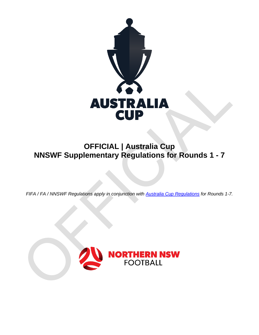

# **OFFICIAL | Australia Cup NNSWF Supplementary Regulations for Rounds 1 - 7**

*FIFA / FA / NNSWF Regulations apply in conjunction with [Australia Cup](http://northernnswfootball.com.au/wp-content/uploads/2018/02/FFA-Cup-2018-Competition-Regulations-Final.pdf) Regulations for Rounds 1-7.*

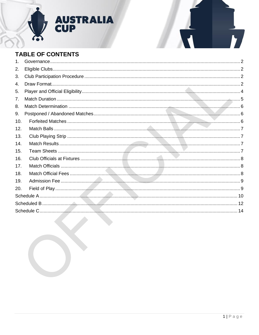

# **TABLE OF CONTENTS**

| 1.  |  |
|-----|--|
| 2.  |  |
| 3.  |  |
| 4.  |  |
| 5.  |  |
| 7.  |  |
| 8.  |  |
| 9.  |  |
| 10. |  |
| 12. |  |
| 13. |  |
| 14. |  |
| 15. |  |
| 16. |  |
| 17. |  |
| 18. |  |
| 19. |  |
| 20. |  |
|     |  |
|     |  |
|     |  |
|     |  |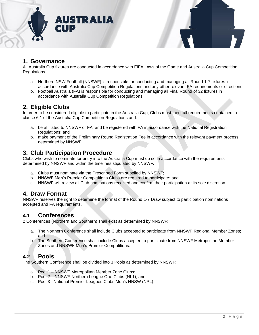



## <span id="page-2-0"></span>**1. Governance**

All Australia Cup fixtures are conducted in accordance with FIFA Laws of the Game and Australia Cup Competition Regulations.

- a. Northern NSW Football (NNSWF) is responsible for conducting and managing all Round 1-7 fixtures in accordance with Australia Cup Competition Regulations and any other relevant FA requirements or directions.
- b. Football Australia (FA) is responsible for conducting and managing all Final Round of 32 fixtures in accordance with Australia Cup Competition Regulations.

## <span id="page-2-1"></span>**2. Eligible Clubs**

In order to be considered eligible to participate in the Australia Cup, Clubs must meet all requirements contained in clause 6.1 of the Australia Cup Competition Regulations and:

- a. be affiliated to NNSWF or FA, and be registered with FA in accordance with the National Registration Regulations; and
- b. make payment of the Preliminary Round Registration Fee in accordance with the relevant payment process determined by NNSWF.

## <span id="page-2-2"></span>**3. Club Participation Procedure**

Clubs who wish to nominate for entry into the Australia Cup must do so in accordance with the requirements determined by NNSWF and within the timelines stipulated by NNSWF.

- a. Clubs must nominate via the Prescribed Form supplied by NNSWF;
- b. NNSWF Men's Premier Competitions Clubs are required to participate; and
- c. NNSWF will review all Club nominations received and confirm their participation at its sole discretion.

#### <span id="page-2-3"></span>**4. Draw Format**

NNSWF reserves the right to determine the format of the Round 1-7 Draw subject to participation nominations accepted and FA requirements.

#### **4.1 Conferences**

2 Conferences (Northern and Southern) shall exist as determined by NNSWF:

- a. The Northern Conference shall include Clubs accepted to participate from NNSWF Regional Member Zones; and
- b. The Southern Conference shall include Clubs accepted to participate from NNSWF Metropolitan Member Zones and NNSWF Men's Premier Competitions.

## **4.2 Pools**

The Southern Conference shall be divided into 3 Pools as determined by NNSWF:

- a. Pool 1 NNSWF Metropolitan Member Zone Clubs;
- b. Pool 2 NNSWF Northern League One Clubs (NL1); and
- c. Pool 3 –National Premier Leagues Clubs Men's NNSW (NPL).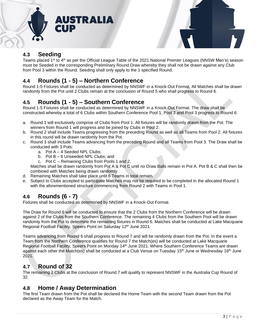



## **4.3 Seeding**

Teams placed 1<sup>st</sup> to 4<sup>th</sup> as per the Official League Table of the 2021 National Premier Leagues (NNSW Men's) season must be Seeded in the corresponding Preliminary Round Draw whereby they shall not be drawn against any Club from Pool 3 within the Round. Seeding shall only apply to the 1 specified Round.

## **4.4 Rounds (1 - 5) – Northern Conference**

Round 1-5 Fixtures shall be conducted as determined by NNSWF in a Knock-Out Format. All Matches shall be drawn randomly from the Pot until 2 Clubs remain at the conclusion of Round 5 who shall progress to Round 6.

## **4.5 Rounds (1 - 5) – Southern Conference**

Round 1-5 Fixtures shall be conducted as determined by NNSWF in a Knock-Out Format. The draw shall be constructed whereby a total of 6 Clubs within Southern Conference Pool 1, Pool 2 and Pool 3 progress to Round 6:

- a. Round 1 will exclusively comprise of Clubs from Pool 1. All fixtures will be randomly drawn from the Pot. The winners from Round 1 will progress and be joined by Clubs in Pool 2.
- b. Round 2 shall include Teams progressing from the preceding Round as well as all Teams from Pool 2. All fixtures in this round will be drawn randomly from the Pot.
- c. Round 3 shall include Teams advancing from the preceding Round and all Teams from Pool 3. The Draw shall be conducted with 3 Pots:
	- a. Pot A 4 Seeded NPL Clubs;
	- b. Pot B 6 Unseeded NPL Clubs; and
	- c. Pot C Remaining Clubs from Pools 1 and 2.

Matches shall be drawn randomly from Pot A & Pot C until no Draw Balls remain in Pot A. Pot B & C shall then be combined with Matches being drawn randomly.

- d. Remaining Matches shall take place until 6 Teams in total remain.
- e. Subject to Clubs accepted to participate Matches may not be required to be completed in the allocated Round 1 with the aforementioned structure commencing from Round 2 with Teams in Pool 1.

## **4.6 Rounds (6 - 7)**

Fixtures shall be conducted as determined by NNSWF in a Knock-Out Format.

The Draw for Round 6 will be conducted to ensure that the 2 Clubs from the Northern Conference will be drawn against 2 of the Clubs from the Southern Conference. The remaining 4 Clubs from the Southern Pool will be drawn randomly from the Pot to determine the remaining fixtures in Round 6. Matches shall be conducted at Lake Macquarie Regional Football Facility, Speers Point on Saturday 12<sup>th</sup> June 2021.

Teams advancing from Round 6 shall progress to Round 7 and will be randomly drawn from the Pot. In the event a Team from the Northern Conference qualifies for Round 7 the Match(es) will be conducted at Lake Macquarie Regional Football Facility, Speers Point on Monday 14<sup>th</sup> June 2021. Where Southern Conference Teams are drawn against each other the Match(es) shall be conducted at a Club Venue on Tuesday 15<sup>th</sup> June or Wednesday 16<sup>th</sup> June 2021.

## **4.7 Round of 32**

The remaining 2 Clubs at the conclusion of Round 7 will qualify to represent NNSWF in the Australia Cup Round of 32.

## **4.8 Home / Away Determination**

The first Team drawn from the Pot shall be declared the Home Team with the second Team drawn from the Pot declared as the Away Team for the Match.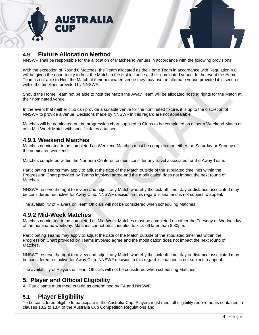



## **4.9 Fixture Allocation Method**

NNSWF shall be responsible for the allocation of Matches to venues in accordance with the following provisions:

With the exception of Round 6 Matches, the Team allocated as the Home Team in accordance with Regulation 4.8 will be given the opportunity to host the Match in the first instance at their nominated venue. In the event the Home Team is not able to Host the Match at their nominated venue they may use an alternate venue provided it is secured within the timelines provided by NNSWF.

Should the Home Team not be able to host the Match the Away Team will be allocated hosting rights for the Match at their nominated venue.

In the event that neither club can provide a suitable venue for the nominated fixture, it is up to the discretion of NNSWF to provide a venue. Decisions made by NNSWF in this regard are not appealable

Matches will be nominated on the progression chart supplied to Clubs to be completed as either a Weekend Match or as a Mid-Week Match with specific dates attached.

#### **4.9.1 Weekend Matches**

Matches nominated to be completed as Weekend Matches must be completed on either the Saturday or Sunday of the nominated weekend.

Matches completed within the Northern Conference must consider any travel associated for the Away Team.

Participating Teams may apply to adjust the date of the Match outside of the stipulated timelines within the Progression Chart provided by Teams involved agree and the modification does not impact the next round of Matches.

NNSWF reserve the right to review and adjust any Match whereby the kick-off time, day or distance associated may be considered restrictive for Away Club. NNSWF decision in this regard is final and is not subject to appeal.

The availability of Players or Team Officials will not be considered when scheduling Matches.

#### **4.9.2 Mid-Week Matches**

Matches nominated to be completed as Mid-Week Matches must be completed on either the Tuesday or Wednesday of the nominated weekday. Matches cannot be scheduled to kick-off later than 8:30pm.

Participating Teams may apply to adjust the date of the Match outside of the stipulated timelines within the Progression Chart provided by Teams involved agree and the modification does not impact the next round of Matches.

NNSWF reserve the right to review and adjust any Match whereby the kick-off time, day or distance associated may be considered restrictive for Away Club. NNSWF decision in this regard is final and is not subject to appeal.

The availability of Players or Team Officials will not be considered when scheduling Matches.

## <span id="page-4-0"></span>**5. Player and Official Eligibility**

All Participants must meet criteria as determined by FA and NNSWF:

#### **5.1 Player Eligibility**

To be considered eligible to participate in the Australia Cup, Players must meet all eligibility requirements contained in clauses 13.2 to 13.4 of the Australia Cup Competition Regulations and: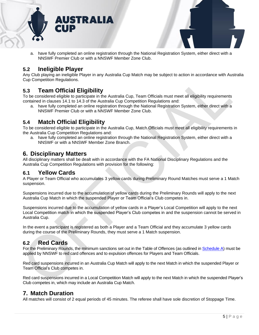



a. have fully completed an online registration through the National Registration System, either direct with a NNSWF Premier Club or with a NNSWF Member Zone Club.

#### **5.2 Ineligible Player**

Any Club playing an ineligible Player in any Australia Cup Match may be subject to action in accordance with Australia Cup Competition Regulations.

## **5.3 Team Official Eligibility**

To be considered eligible to participate in the Australia Cup, Team Officials must meet all eligibility requirements contained in clauses 14.1 to 14.3 of the Australia Cup Competition Regulations and:

a. have fully completed an online registration through the National Registration System, either direct with a NNSWF Premier Club or with a NNSWF Member Zone Club.

## **5.4 Match Official Eligibility**

To be considered eligible to participate in the Australia Cup, Match Officials must meet all eligibility requirements in the Australia Cup Competition Regulations and:

a. have fully completed an online registration through the National Registration System, either direct with a NNSWF or with a NNSWF Member Zone Branch.

#### **6. Disciplinary Matters**

All disciplinary matters shall be dealt with in accordance with the FA National Disciplinary Regulations and the Australia Cup Competition Regulations with provision for the following:

#### **6.1 Yellow Cards**

A Player or Team Official who accumulates 3 yellow cards during Preliminary Round Matches must serve a 1 Match suspension.

Suspensions incurred due to the accumulation of yellow cards during the Preliminary Rounds will apply to the next Australia Cup Match in which the suspended Player or Team Official's Club competes in.

Suspensions incurred due to the accumulation of yellow cards in a Player's Local Competition will apply to the next Local Competition match in which the suspended Player's Club competes in and the suspension cannot be served in Australia Cup.

In the event a participant is registered as both a Player and a Team Official and they accumulate 3 yellow cards during the course of the Preliminary Rounds, they must serve a 1 Match suspension.

#### **6.2 Red Cards**

For the Preliminary Rounds, the minimum sanctions set out in the Table of Offences (as outlined in [Schedule A\)](#page-9-2) must be applied by NNSWF to red card offences and to expulsion offences for Players and Team Officials.

Red card suspensions incurred in an Australia Cup Match will apply to the next Match in which the suspended Player or Team Official's Club competes in.

Red card suspensions incurred in a Local Competition Match will apply to the next Match in which the suspended Player's Club competes in, which may include an Australia Cup Match.

## <span id="page-5-0"></span>**7. Match Duration**

All matches will consist of 2 equal periods of 45 minutes. The referee shall have sole discretion of Stoppage Time.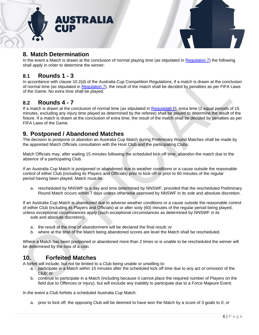



## <span id="page-6-0"></span>**8. Match Determination**

In the event a Match is drawn at the conclusion of normal playing time (as stipulated in [Regulation 7\)](#page-5-0) the following shall apply in order to determine the winner:

#### **8.1 Rounds 1 - 3**

In accordance with clause 10.2(d) of the Australia Cup Competition Regulations, if a match is drawn at the conclusion of normal time (as stipulated in [Regulation](#page-5-0) 7), the result of the match shall be decided by penalties as per FIFA Laws of the Game. No extra time shall be played.

#### **8.2 Rounds 4 - 7**

If a match is drawn at the conclusion of normal time (as stipulated in [Regulation 7\)](#page-5-0), extra time (2 equal periods of 15 minutes, excluding any injury time played as determined by the referee) shall be played to determine the result of the fixture. If a match is drawn at the conclusion of extra time, the result of the match shall be decided by penalties as per FIFA Laws of the Game.

## <span id="page-6-1"></span>**9. Postponed / Abandoned Matches**

The decision to postpone or abandon an Australia Cup Match during Preliminary Round Matches shall be made by the appointed Match Officials consultation with the Host Club and the participating Clubs.

Match Officials may, after waiting 15 minutes following the scheduled kick-off time, abandon the match due to the absence of a participating Club.

If an Australia Cup Match is postponed or abandoned due to weather conditions or a cause outside the reasonable control of either Club (including its Players and Officials) prior to kick-off or prior to 60 minutes of the regular period having been played, Match must be:

a. rescheduled by NNSWF to a day and time determined by NNSWF, provided that the rescheduled Preliminary Round Match occurs within 7 days unless otherwise approved by NNSWF in its sole and absolute discretion.

If an Australia Cup Match is abandoned due to adverse weather conditions or a cause outside the reasonable control of either Club (including its Players and Officials) at or after sixty (60) minutes of the regular period being played, unless exceptional circumstances apply (such exceptional circumstances as determined by NNSWF in its sole and absolute discretion):

- a. the result at the time of abandonment will be declared the final result; or
- b. where at the time of the Match being abandoned scores are level the Match shall be rescheduled.

Where a Match has been postponed or abandoned more than 2 times or is unable to be rescheduled the winner will be determined by the toss of a coin.

## <span id="page-6-2"></span>**10. Forfeited Matches**

A forfeit will include, but not be limited to a Club being unable or unwilling to:

- a. participate in a Match within 15 minutes after the scheduled kick off time due to any act or omission of the Club; or
- b. continue to participate in a Match (including because it cannot place the required number of Players on the field due to Offences or injury), but will exclude any inability to participate due to a Force Majeure Event.

In the event a Club forfeits a scheduled Australia Cup Match:

a. prior to kick off, the opposing Club will be deemed to have won the Match by a score of 3 goals to 0; or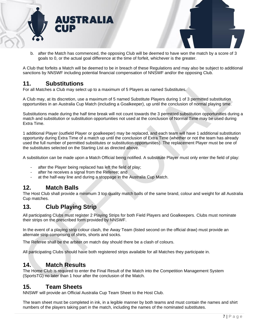



b. after the Match has commenced, the opposing Club will be deemed to have won the match by a score of 3 goals to 0, or the actual goal difference at the time of forfeit, whichever is the greater.

A Club that forfeits a Match will be deemed to be in breach of these Regulations and may also be subject to additional sanctions by NNSWF including potential financial compensation of NNSWF and/or the opposing Club.

## **11. Substitutions**

For all Matches a Club may select up to a maximum of 5 Players as named Substitutes.

A Club may, at its discretion, use a maximum of 5 named Substitute Players during 1 of 3 permitted substitution opportunities in an Australia Cup Match (including a Goalkeeper), up until the conclusion of normal playing time.

Substitutions made during the half time break will not count towards the 3 permitted substitution opportunities during a match and substitution or substitution opportunities not used at the conclusion of Normal Time may be used during Extra Time.

1 additional Player (outfield Player or goalkeeper) may be replaced, and each team will have 1 additional substitution opportunity during Extra Time of a match up until the conclusion of Extra Time (whether or not the team has already used the full number of permitted substitutes or substitution opportunities). The replacement Player must be one of the substitutes selected on the Starting List as directed above.

A substitution can be made upon a Match Official being notified. A substitute Player must only enter the field of play:

- after the Player being replaced has left the field of play;
- after he receives a signal from the Referee; and
- at the half-way line and during a stoppage in the Australia Cup Match.

## <span id="page-7-0"></span>**12. Match Balls**

The Host Club shall provide a minimum 3 top quality match balls of the same brand, colour and weight for all Australia Cup matches.

## <span id="page-7-1"></span>**13. Club Playing Strip**

All participating Clubs must register 2 Playing Strips for both Field Players and Goalkeepers. Clubs must nominate their strips on the prescribed form provided by NNSWF.

In the event of a playing strip colour clash, the Away Team (listed second on the official draw) must provide an alternate strip comprising of shirts, shorts and socks.

The Referee shall be the arbiter on match day should there be a clash of colours.

All participating Clubs should have both registered strips available for all Matches they participate in.

## <span id="page-7-2"></span>**14. Match Results**

The Home Club is required to enter the Final Result of the Match into the Competition Management System (SportsTG) no later than 1 hour after the conclusion of the Match.

#### <span id="page-7-3"></span>**15. Team Sheets**

NNSWF will provide an Official Australia Cup Team Sheet to the Host Club.

The team sheet must be completed in ink, in a legible manner by both teams and must contain the names and shirt numbers of the players taking part in the match, including the names of the nominated substitutes.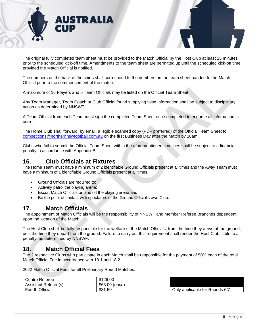



The original fully completed team sheet must be provided to the Match Official by the Host Club at least 15 minutes prior to the scheduled kick-off time. Amendments to the team sheet are permitted up until the scheduled kick-off time provided the Match Official is notified.

The numbers on the back of the shirts shall correspond to the numbers on the team sheet handed to the Match Official prior to the commencement of the match.

A maximum of 16 Players and 6 Team Officials may be listed on the Official Team Sheet.

Any Team Manager, Team Coach or Club Official found supplying false information shall be subject to disciplinary action as determined by NNSWF.

A Team Official from each Team must sign the completed Team Sheet once completed to endorse all information is correct.

The Home Club shall forward, by email, a legible scanned copy (PDF preferred) of the Official Team Sheet to [competitions@northernnswfootball.com.au](mailto:competitions@northernnswfootball.com.au) on the first Business Day after the Match by 10am.

Clubs who fail to submit the Official Team Sheet within the aforementioned timelines shall be subject to a financial penalty in accordance with Appendix B.

#### <span id="page-8-0"></span>**16. Club Officials at Fixtures**

The Home Team must have a minimum of 2 identifiable Ground Officials present at all times and the Away Team must have a minimum of 1 identifiable Ground Officials present at all times.

- Ground Officials are required to:
- Actively patrol the playing arena;
- Escort Match Officials on and off the playing arena and
- Be the point of contact with spectators of the Ground Official's own Club.

#### <span id="page-8-1"></span>**17. Match Officials**

The appointment of Match Officials will be the responsibility of NNSWF and Member Referee Branches dependent upon the location of the Match.

The Host Club shall be fully responsible for the welfare of the Match Officials, from the time they arrive at the ground, until the time they depart from the ground. Failure to carry out this requirement shall render the Host Club liable to a penalty, as determined by NNSWF.

## <span id="page-8-2"></span>**18. Match Official Fees**

The 2 respective Clubs who participate in each Match shall be responsible for the payment of 50% each of the total Match Official Fee in accordance with 18.1 and 18.2.

2022 Match Official Fees for all Preliminary Round Matches:

| Centre Referee              | \$126.00          |                                |
|-----------------------------|-------------------|--------------------------------|
| <b>Assistant Referee(s)</b> | \$63.00<br>(each) |                                |
| <b>Fourth Official</b>      | \$31.50           | Only applicable for Rounds 6/7 |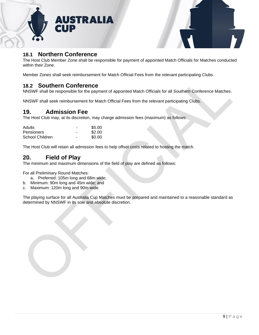



## **18.1 Northern Conference**

The Host Club Member Zone shall be responsible for payment of appointed Match Officials for Matches conducted within their Zone.

Member Zones shall seek reimbursement for Match Official Fees from the relevant participating Clubs.

## **18.2 Southern Conference**

NNSWF shall be responsible for the payment of appointed Match Officials for all Southern Conference Matches.

NNSWF shall seek reimbursement for Match Official Fees from the relevant participating Clubs.

## <span id="page-9-0"></span>**19. Admission Fee**

The Host Club may, at its discretion, may charge admission fees (maximum) as follows:

| Adults            | - | \$5.00 |
|-------------------|---|--------|
| <b>Pensioners</b> | - | \$2.00 |
| School Children   | - | \$0.00 |

The Host Club will retain all admission fees to help offset costs related to hosting the match.

## <span id="page-9-1"></span>**20. Field of Play**

The minimum and maximum dimensions of the field of play are defined as follows:

For all Preliminary Round Matches:

- <span id="page-9-2"></span>a. Preferred: 105m long and 68m wide;
- b. Minimum: 90m long and 45m wide; and
- c. Maximum: 120m long and 90m wide.

The playing surface for all Australia Cup Matches must be prepared and maintained to a reasonable standard as determined by NNSWF in its sole and absolute discretion.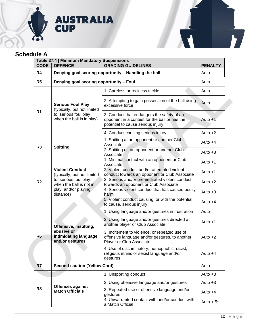

# <span id="page-10-0"></span>**Schedule A**

| <b>CODE</b>    | Table 37.4   Minimum Mandatory Suspensions<br><b>OFFENCE</b>                                                                                   | <b>GRADING GUIDELINES</b>                                                                                                        | <b>PENALTY</b> |
|----------------|------------------------------------------------------------------------------------------------------------------------------------------------|----------------------------------------------------------------------------------------------------------------------------------|----------------|
| R4             | Denying goal scoring opportunity - Handling the ball                                                                                           |                                                                                                                                  | Auto           |
| R <sub>5</sub> | Denying goal scoring opportunity - Foul                                                                                                        |                                                                                                                                  | Auto           |
|                |                                                                                                                                                | 1. Careless or reckless tackle                                                                                                   | Auto           |
|                | <b>Serious Foul Play</b><br>(typically, but not limited<br>to, serious foul play<br>when the ball is in play)                                  | 2. Attempting to gain possession of the ball using<br>excessive force                                                            | Auto           |
| R <sub>1</sub> |                                                                                                                                                | 3. Conduct that endangers the safety of an<br>opponent in a contest for the ball or has the<br>potential to cause serious injury | Auto +1        |
|                |                                                                                                                                                | 4. Conduct causing serious injury                                                                                                | Auto $+2$      |
|                | <b>Spitting</b>                                                                                                                                | 1. Spitting at an opponent or another Club<br>Associate                                                                          | Auto $+4$      |
| R <sub>3</sub> |                                                                                                                                                | 2. Spitting on an opponent or another Club<br>Associate                                                                          | Auto $+8$      |
|                | <b>Violent Conduct</b><br>(typically, but not limited<br>to, serious foul play<br>when the ball is not in<br>play, and/or playing<br>distance) | 1. Minimal contact with an opponent or Club<br>Associate                                                                         | Auto +1        |
|                |                                                                                                                                                | 2. Violent conduct and/or attempted violent<br>conduct towards an opponent or Club Associate                                     | Auto $+1$      |
| R <sub>2</sub> |                                                                                                                                                | 3. Serious and/or premeditated violent conduct<br>towards an opponent or Club Associate                                          | Auto $+2$      |
|                |                                                                                                                                                | 4. Serious violent conduct that has caused bodily<br>harm                                                                        | Auto $+3$      |
|                |                                                                                                                                                | 5. Violent conduct causing, or with the potential<br>to cause, serious injury                                                    | Auto $+4$      |
|                | Offensive, insulting,<br>abusive or<br>intimidating language<br>and/or gestures                                                                | 1. Using language and/or gestures in frustration                                                                                 | Auto           |
|                |                                                                                                                                                | 2. Using language and/or gestures directed at<br>another player or Club Associate                                                | Auto $+1$      |
| R <sub>6</sub> |                                                                                                                                                | 3. Incitement to violence, or repeated use of<br>offensive language and/or gestures, to another<br>Player or Club Associate      | Auto $+2$      |
|                |                                                                                                                                                | 4. Use of discriminatory, homophobic, racist,<br>religious ethnic or sexist language and/or<br>gestures                          | Auto $+4$      |
| R7             | <b>Second caution (Yellow Card)</b>                                                                                                            |                                                                                                                                  | Auto           |
|                |                                                                                                                                                | 1. Unsporting conduct                                                                                                            | Auto $+3$      |
|                | <b>Offences against</b><br><b>Match Officials</b>                                                                                              | 2. Using offensive language and/or gestures                                                                                      | Auto $+3$      |
| R <sub>8</sub> |                                                                                                                                                | 3. Repeated use of offensive language and/or<br>gestures                                                                         | Auto $+4$      |
|                |                                                                                                                                                | 4. Unwarranted contact with and/or conduct with<br>a Match Official                                                              | Auto $+5^*$    |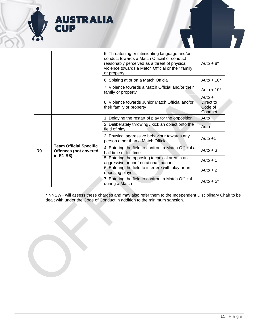

|                |                                                                            | 5. Threatening or intimidating language and/or<br>conduct towards a Match Official or conduct<br>reasonably perceived as a threat of physical<br>violence towards a Match Official or their family<br>or property | Auto $+8$ <sup>*</sup>                      |
|----------------|----------------------------------------------------------------------------|-------------------------------------------------------------------------------------------------------------------------------------------------------------------------------------------------------------------|---------------------------------------------|
|                |                                                                            | 6. Spitting at or on a Match Official                                                                                                                                                                             | Auto $+10*$                                 |
|                |                                                                            | 7. Violence towards a Match Official and/or their<br>family or property                                                                                                                                           | Auto $+10*$                                 |
|                |                                                                            | 8. Violence towards Junior Match Official and/or<br>their family or property                                                                                                                                      | Auto $+$<br>Direct to<br>Code of<br>Conduct |
|                |                                                                            | 1. Delaying the restart of play for the opposition                                                                                                                                                                | Auto                                        |
|                | <b>Team Official Specific</b><br><b>Offences (not covered</b><br>in R1-R8) | 2. Deliberately throwing / kick an object onto the<br>field of play                                                                                                                                               | Auto                                        |
|                |                                                                            | 3. Physical aggressive behaviour towards any<br>person other than a Match Official                                                                                                                                | Auto $+1$                                   |
| R <sub>9</sub> |                                                                            | 4. Entering the field to confront a Match Official at<br>half time or full time                                                                                                                                   | Auto $+3$                                   |
|                |                                                                            | 5. Entering the opposing technical area in an<br>aggressive or confrontational manner                                                                                                                             | Auto $+1$                                   |
|                |                                                                            | 6. Entering the field to interfere with play or an<br>opposing player                                                                                                                                             | Auto $+2$                                   |
|                |                                                                            | 7. Entering the field to confront a Match Official<br>during a Match                                                                                                                                              | Auto $+5^*$                                 |

\* NNSWF will assess these charges and may also refer them to the Independent Disciplinary Chair to be dealt with under the Code of Conduct in addition to the minimum sanction.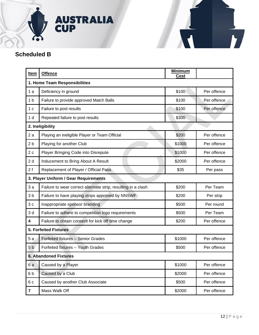

# <span id="page-12-0"></span>**Scheduled B**

| Item                          | <b>Offence</b>                                                | <b>Minimum</b><br>Cost |             |  |
|-------------------------------|---------------------------------------------------------------|------------------------|-------------|--|
| 1. Home Team Responsibilities |                                                               |                        |             |  |
| 1a                            | Deficiency in ground                                          | \$100                  | Per offence |  |
| 1 <sub>b</sub>                | Failure to provide approved Match Balls                       | \$100                  | Per offence |  |
| 1 <sub>c</sub>                | Failure to post results                                       | \$100                  | Per offence |  |
| 1 d                           | Repeated failure to post results                              | \$300                  |             |  |
|                               | 2. Ineligibility                                              |                        |             |  |
| 2a                            | Playing an ineligible Player or Team Official                 | \$200                  | Per offence |  |
| 2 <sub>b</sub>                | Playing for another Club                                      | \$1000                 | Per offence |  |
| 2c                            | Player Bringing Code into Disrepute                           | \$1000                 | Per offence |  |
| 2d                            | Inducement to Bring About A Result                            | \$2000                 | Per offence |  |
| 2f                            | Replacement of Player / Official Pass                         | \$35                   | Per pass    |  |
|                               | 3. Player Uniform / Gear Requirements                         |                        |             |  |
| 3a                            | Failure to wear correct alternate strip, resulting in a clash | \$200                  | Per Team    |  |
| 3 <sub>b</sub>                | Failure to have playing strips approved by NNSWF              | \$200                  | Per strip   |  |
| 3c                            | Inappropriate sponsor branding                                | \$500                  | Per round   |  |
| 3d                            | Failure to adhere to competition logo requirements            | \$500                  | Per Team    |  |
| 4                             | Failure to obtain consent for kick off time change            | \$200                  | Per offence |  |
| <b>5. Forfeited Fixtures</b>  |                                                               |                        |             |  |
| 5 a                           | Forfeited fixtures - Senior Grades                            | \$1000                 | Per offence |  |
| 5 <sub>b</sub>                | Forfeited fixtures - Youth Grades                             | \$500                  | Per offence |  |
| <b>6. Abandoned Fixtures</b>  |                                                               |                        |             |  |
| 6a                            | Caused by a Player                                            | \$1000                 | Per offence |  |
| 6b                            | Caused by a Club                                              | \$2000                 | Per offence |  |
| 6c                            | Caused by another Club Associate                              | \$500                  | Per offence |  |
| $\overline{7}$                | Mass Walk Off                                                 | \$2000                 | Per offence |  |

 $\mathbf{F}$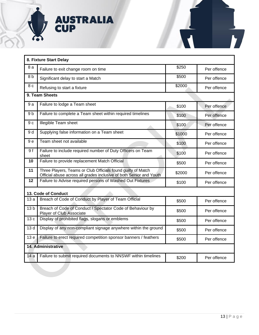

| 8. Fixture Start Delay |                                                                                                                                     |        |             |
|------------------------|-------------------------------------------------------------------------------------------------------------------------------------|--------|-------------|
| 8а                     | Failure to exit change room on time                                                                                                 | \$250  | Per offence |
| 8 b                    | Significant delay to start a Match                                                                                                  | \$500  | Per offence |
| 8 c                    | Refusing to start a fixture                                                                                                         | \$2000 | Per offence |
|                        | 9. Team Sheets                                                                                                                      |        |             |
| 9a                     | Failure to lodge a Team sheet                                                                                                       | \$100  | Per offence |
| 9 <sub>b</sub>         | Failure to complete a Team sheet within required timelines                                                                          | \$100  | Per offence |
| 9 <sub>c</sub>         | Illegible Team sheet                                                                                                                | \$100  | Per offence |
| 9 d                    | Supplying false information on a Team sheet                                                                                         | \$1000 | Per offence |
| 9e                     | Team sheet not available                                                                                                            | \$100  | Per offence |
| 9f                     | Failure to include required number of Duty Officers on Team<br>sheet                                                                | \$100  | Per offence |
| 10                     | Failure to provide replacement Match Official                                                                                       | \$500  | Per offence |
| 11                     | Three Players, Teams or Club Officials found guilty of Match<br>Official abuse across all grades inclusive of both Senior and Youth | \$2000 | Per offence |
| 12                     | Failure to Advise required persons of Washed Out Fixtures                                                                           | \$100  | Per offence |
|                        | 13. Code of Conduct                                                                                                                 |        |             |
| 13 a                   | Breach of Code of Conduct by Player of Team Official                                                                                | \$500  | Per offence |
| 13 <sub>b</sub>        | Breach of Code of Conduct / Spectator Code of Behaviour by<br><b>Player of Club Associate</b>                                       | \$500  | Per offence |
| 13c                    | Display of prohibited flags, slogans or emblems                                                                                     | \$500  | Per offence |
| 13d                    | Display of any non-compliant signage anywhere within the ground                                                                     | \$500  | Per offence |
| 13 <sub>e</sub>        | Failure to erect required competition sponsor banners / feathers                                                                    | \$500  | Per offence |
| 14. Administrative     |                                                                                                                                     |        |             |
| 14a                    | Failure to submit required documents to NNSWF within timelines                                                                      | \$200  | Per offence |
|                        |                                                                                                                                     |        |             |